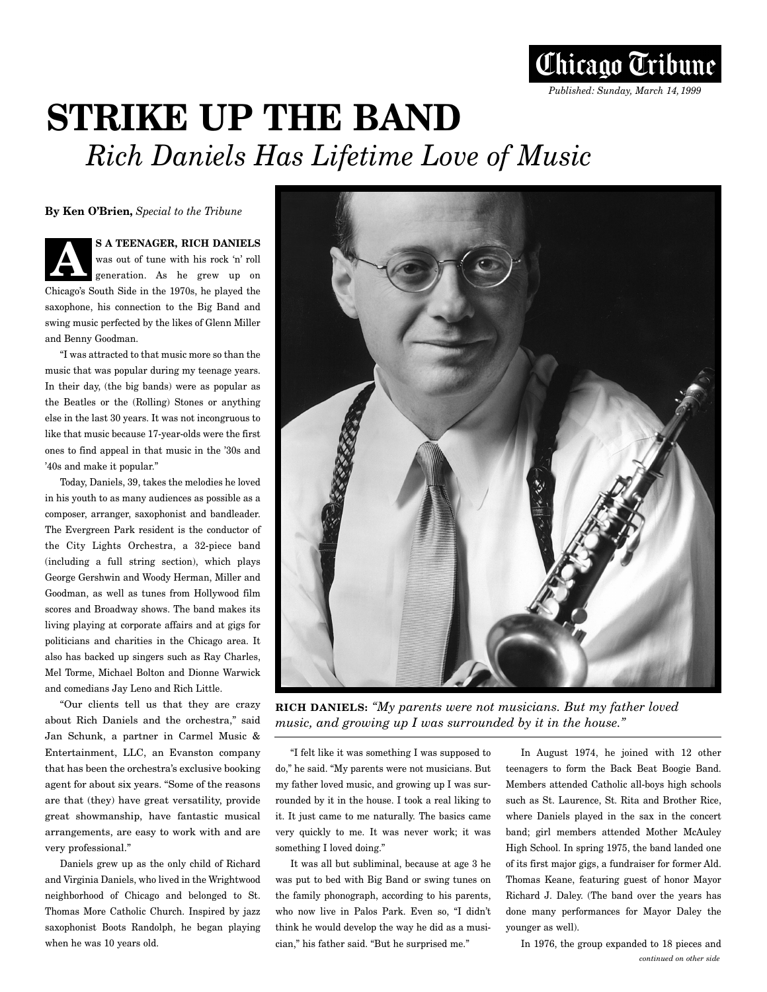

## **STRIKE UP THE BAND** *Rich Daniels Has Lifetime Love of Music*

**By Ken O'Brien,** *Special to the Tribune*

**S A TEENAGER, RICH DANIELS** was out of tune with his rock 'n' roll generation. As he grew up on Chicago's South Side in the 1970s, he played the saxophone, his connection to the Big Band and swing music perfected by the likes of Glenn Miller and Benny Goodman. **A**

"I was attracted to that music more so than the music that was popular during my teenage years. In their day, (the big bands) were as popular as the Beatles or the (Rolling) Stones or anything else in the last 30 years. It was not incongruous to like that music because 17-year-olds were the first ones to find appeal in that music in the '30s and '40s and make it popular."

Today, Daniels, 39, takes the melodies he loved in his youth to as many audiences as possible as a composer, arranger, saxophonist and bandleader. The Evergreen Park resident is the conductor of the City Lights Orchestra, a 32-piece band (including a full string section), which plays George Gershwin and Woody Herman, Miller and Goodman, as well as tunes from Hollywood film scores and Broadway shows. The band makes its living playing at corporate affairs and at gigs for politicians and charities in the Chicago area. It also has backed up singers such as Ray Charles, Mel Torme, Michael Bolton and Dionne Warwick and comedians Jay Leno and Rich Little.

"Our clients tell us that they are crazy about Rich Daniels and the orchestra," said Jan Schunk, a partner in Carmel Music & Entertainment, LLC, an Evanston company that has been the orchestra's exclusive booking agent for about six years. "Some of the reasons are that (they) have great versatility, provide great showmanship, have fantastic musical arrangements, are easy to work with and are very professional."

Daniels grew up as the only child of Richard and Virginia Daniels, who lived in the Wrightwood neighborhood of Chicago and belonged to St. Thomas More Catholic Church. Inspired by jazz saxophonist Boots Randolph, he began playing when he was 10 years old.



**RICH DANIELS:** *"My parents were not musicians. But my father loved music, and growing up I was surrounded by it in the house."*

"I felt like it was something I was supposed to do," he said. "My parents were not musicians. But my father loved music, and growing up I was surrounded by it in the house. I took a real liking to it. It just came to me naturally. The basics came very quickly to me. It was never work; it was something I loved doing."

It was all but subliminal, because at age 3 he was put to bed with Big Band or swing tunes on the family phonograph, according to his parents, who now live in Palos Park. Even so, "I didn't think he would develop the way he did as a musician," his father said. "But he surprised me."

In August 1974, he joined with 12 other teenagers to form the Back Beat Boogie Band. Members attended Catholic all-boys high schools such as St. Laurence, St. Rita and Brother Rice, where Daniels played in the sax in the concert band; girl members attended Mother McAuley High School. In spring 1975, the band landed one of its first major gigs, a fundraiser for former Ald. Thomas Keane, featuring guest of honor Mayor Richard J. Daley. (The band over the years has done many performances for Mayor Daley the younger as well).

In 1976, the group expanded to 18 pieces and *continued on other side*